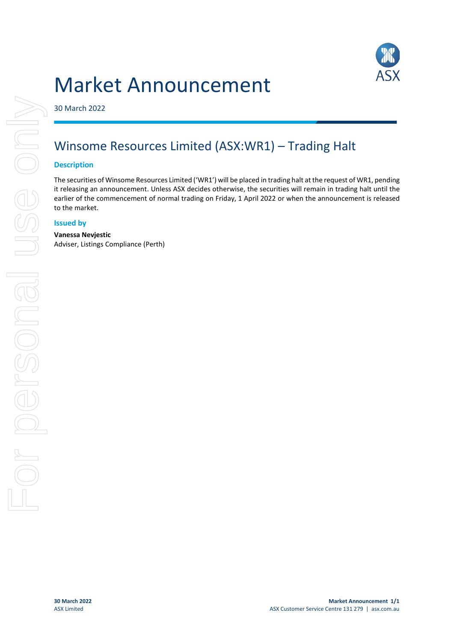# Market Announcement



30 March 2022

## Winsome Resources Limited (ASX:WR1) – Trading Halt

#### **Description**

The securities of Winsome Resources Limited ('WR1') will be placed in trading halt at the request of WR1, pending it releasing an announcement. Unless ASX decides otherwise, the securities will remain in trading halt until the earlier of the commencement of normal trading on Friday, 1 April 2022 or when the announcement is released to the market.

#### **Issued by**

#### **Vanessa Nevjestic**

Adviser, Listings Compliance (Perth)